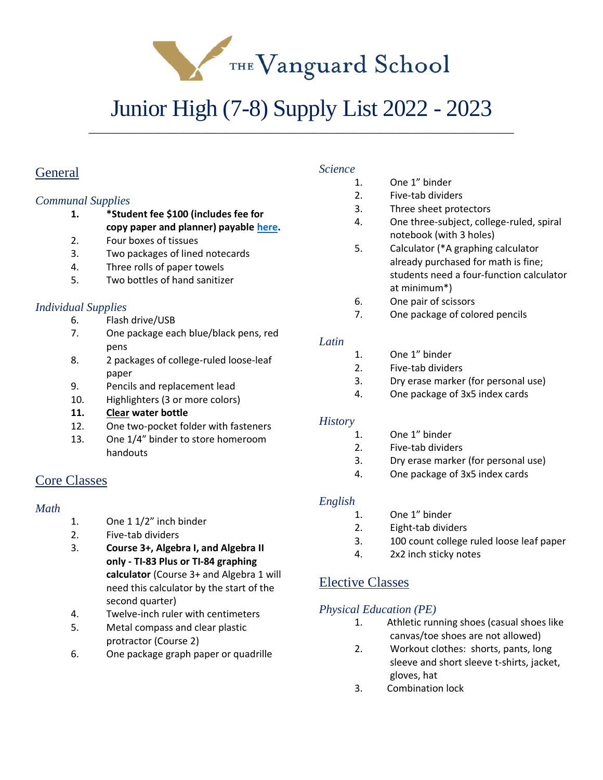THE Vanguard School

# Junior High (7-8) Supply List 2022 - 2023

\_\_\_\_\_\_\_\_\_\_\_\_\_\_\_\_\_\_\_\_\_\_\_\_\_\_\_\_\_\_\_\_\_\_\_\_\_\_\_\_\_\_\_\_\_\_\_\_\_\_\_\_\_\_\_\_\_\_\_\_\_\_\_\_\_\_\_\_\_\_\_\_

# **General**

## *Communal Supplies*

- **1. \*Student fee \$100 (includes fee for copy paper and planner) payable [here.](https://thevanguardschool.revtrak.net/)**
- 2. Four boxes of tissues
- 3. Two packages of lined notecards
- 4. Three rolls of paper towels
- 5. Two bottles of hand sanitizer

# *Individual Supplies*

- 6. Flash drive/USB
- 7. One package each blue/black pens, red pens
- 8. 2 packages of college-ruled loose-leaf paper
- 9. Pencils and replacement lead
- 10. Highlighters (3 or more colors)
- **11. Clear water bottle**
- 12. One two-pocket folder with fasteners
- 13. One 1/4" binder to store homeroom handouts

# Core Classes

## *Math*

- 1. One 1 1/2" inch binder
- 2. Five-tab dividers
- 3. **Course 3+, Algebra I, and Algebra II only - TI-83 Plus or TI-84 graphing calculator** (Course 3+ and Algebra 1 will need this calculator by the start of the second quarter)
- 4. Twelve-inch ruler with centimeters
- 5. Metal compass and clear plastic protractor (Course 2)
- 6. One package graph paper or quadrille

### *Science*

- 1. One 1" binder
- 2. Five-tab dividers
- 3. Three sheet protectors
- 4. One three-subject, college-ruled, spiral notebook (with 3 holes)
- 5. Calculator (\*A graphing calculator already purchased for math is fine; students need a four-function calculator at minimum\*)
- 6. One pair of scissors
- 7. One package of colored pencils

# *Latin*

- 1. One 1" binder
- 2. Five-tab dividers
- 3. Dry erase marker (for personal use)
- 4. One package of 3x5 index cards

## *History*

- 1. One 1" binder
- 2. Five-tab dividers
- 3. Dry erase marker (for personal use)
- 4. One package of 3x5 index cards

# *English*

- 1. One 1" binder
- 2. Eight-tab dividers
- 3. 100 count college ruled loose leaf paper
- 4. 2x2 inch sticky notes

# Elective Classes

# *Physical Education (PE)*

- 1. Athletic running shoes (casual shoes like canvas/toe shoes are not allowed)
- 2. Workout clothes: shorts, pants, long sleeve and short sleeve t-shirts, jacket, gloves, hat
- 3. Combination lock